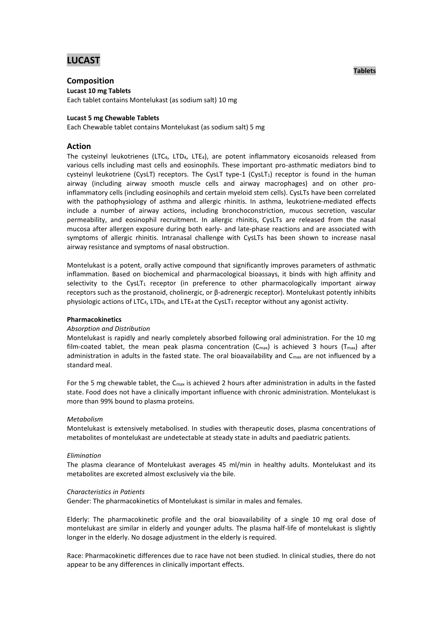# **LUCAST**

# **Composition**

**Lucast 10 mg Tablets** Each tablet contains Montelukast (as sodium salt) 10 mg

### **Lucast 5 mg Chewable Tablets**

Each Chewable tablet contains Montelukast (as sodium salt) 5 mg

# **Action**

The cysteinyl leukotrienes (LTC4, LTD4, LTE4), are potent inflammatory eicosanoids released from various cells including mast cells and eosinophils. These important pro-asthmatic mediators bind to cysteinyl leukotriene (CysLT) receptors. The CysLT type-1 (CysLT<sub>1</sub>) receptor is found in the human airway (including airway smooth muscle cells and airway macrophages) and on other proinflammatory cells (including eosinophils and certain myeloid stem cells). CysLTs have been correlated with the pathophysiology of asthma and allergic rhinitis. In asthma, leukotriene-mediated effects include a number of airway actions, including bronchoconstriction, mucous secretion, vascular permeability, and eosinophil recruitment. In allergic rhinitis, CysLTs are released from the nasal mucosa after allergen exposure during both early- and late-phase reactions and are associated with symptoms of allergic rhinitis. Intranasal challenge with CysLTs has been shown to increase nasal airway resistance and symptoms of nasal obstruction.

Montelukast is a potent, orally active compound that significantly improves parameters of asthmatic inflammation. Based on biochemical and pharmacological bioassays, it binds with high affinity and selectivity to the CysLT<sub>1</sub> receptor (in preference to other pharmacologically important airway receptors such as the prostanoid, cholinergic, or β-adrenergic receptor). Montelukast potently inhibits physiologic actions of LTC4, LTD4, and LTE4 at the CysLT1 receptor without any agonist activity.

### **Pharmacokinetics**

### *Absorption and Distribution*

Montelukast is rapidly and nearly completely absorbed following oral administration. For the 10 mg film-coated tablet, the mean peak plasma concentration ( $C_{\text{max}}$ ) is achieved 3 hours ( $T_{\text{max}}$ ) after administration in adults in the fasted state. The oral bioavailability and C<sub>max</sub> are not influenced by a standard meal.

For the 5 mg chewable tablet, the  $C_{\text{max}}$  is achieved 2 hours after administration in adults in the fasted state. Food does not have a clinically important influence with chronic administration. Montelukast is more than 99% bound to plasma proteins.

### *Metabolism*

Montelukast is extensively metabolised. In studies with therapeutic doses, plasma concentrations of metabolites of montelukast are undetectable at steady state in adults and paediatric patients.

### *Elimination*

The plasma clearance of Montelukast averages 45 ml/min in healthy adults. Montelukast and its metabolites are excreted almost exclusively via the bile.

### *Characteristics in Patients*

Gender: The pharmacokinetics of Montelukast is similar in males and females.

Elderly: The pharmacokinetic profile and the oral bioavailability of a single 10 mg oral dose of montelukast are similar in elderly and younger adults. The plasma half-life of montelukast is slightly longer in the elderly. No dosage adjustment in the elderly is required.

Race: Pharmacokinetic differences due to race have not been studied. In clinical studies, there do not appear to be any differences in clinically important effects.

# **Tablets**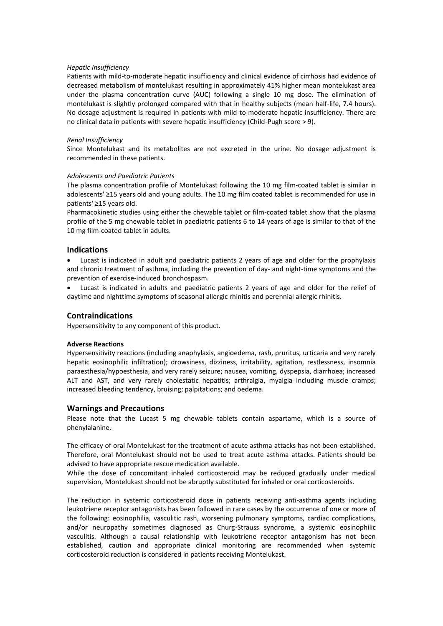### *Hepatic Insufficiency*

Patients with mild-to-moderate hepatic insufficiency and clinical evidence of cirrhosis had evidence of decreased metabolism of montelukast resulting in approximately 41% higher mean montelukast area under the plasma concentration curve (AUC) following a single 10 mg dose. The elimination of montelukast is slightly prolonged compared with that in healthy subjects (mean half-life, 7.4 hours). No dosage adjustment is required in patients with mild-to-moderate hepatic insufficiency. There are no clinical data in patients with severe hepatic insufficiency (Child-Pugh score > 9).

### *Renal Insufficiency*

Since Montelukast and its metabolites are not excreted in the urine. No dosage adjustment is recommended in these patients.

### *Adolescents and Paediatric Patients*

The plasma concentration profile of Montelukast following the 10 mg film-coated tablet is similar in adolescents' ≥15 years old and young adults. The 10 mg film coated tablet is recommended for use in patients' ≥15 years old.

Pharmacokinetic studies using either the chewable tablet or film-coated tablet show that the plasma profile of the 5 mg chewable tablet in paediatric patients 6 to 14 years of age is similar to that of the 10 mg film-coated tablet in adults.

# **Indications**

 Lucast is indicated in adult and paediatric patients 2 years of age and older for the prophylaxis and chronic treatment of asthma, including the prevention of day- and night-time symptoms and the prevention of exercise-induced bronchospasm.

 Lucast is indicated in adults and paediatric patients 2 years of age and older for the relief of daytime and nighttime symptoms of seasonal allergic rhinitis and perennial allergic rhinitis.

# **Contraindications**

Hypersensitivity to any component of this product.

### **Adverse Reactions**

Hypersensitivity reactions (including anaphylaxis, angioedema, rash, pruritus, urticaria and very rarely hepatic eosinophilic infiltration); drowsiness, dizziness, irritability, agitation, restlessness, insomnia paraesthesia/hypoesthesia, and very rarely seizure; nausea, vomiting, dyspepsia, diarrhoea; increased ALT and AST, and very rarely cholestatic hepatitis; arthralgia, myalgia including muscle cramps; increased bleeding tendency, bruising; palpitations; and oedema.

# **Warnings and Precautions**

Please note that the Lucast 5 mg chewable tablets contain aspartame, which is a source of phenylalanine.

The efficacy of oral Montelukast for the treatment of acute asthma attacks has not been established. Therefore, oral Montelukast should not be used to treat acute asthma attacks. Patients should be advised to have appropriate rescue medication available.

While the dose of concomitant inhaled corticosteroid may be reduced gradually under medical supervision, Montelukast should not be abruptly substituted for inhaled or oral corticosteroids.

The reduction in systemic corticosteroid dose in patients receiving anti-asthma agents including leukotriene receptor antagonists has been followed in rare cases by the occurrence of one or more of the following: eosinophilia, vasculitic rash, worsening pulmonary symptoms, cardiac complications, and/or neuropathy sometimes diagnosed as Churg-Strauss syndrome, a systemic eosinophilic vasculitis. Although a causal relationship with leukotriene receptor antagonism has not been established, caution and appropriate clinical monitoring are recommended when systemic corticosteroid reduction is considered in patients receiving Montelukast.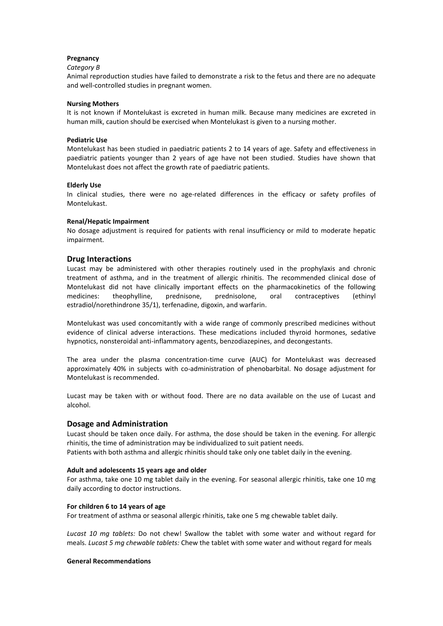# **Pregnancy**

### *Category B*

Animal reproduction studies have failed to demonstrate a risk to the fetus and there are no adequate and well-controlled studies in pregnant women.

### **Nursing Mothers**

It is not known if Montelukast is excreted in human milk. Because many medicines are excreted in human milk, caution should be exercised when Montelukast is given to a nursing mother.

### **Pediatric Use**

Montelukast has been studied in paediatric patients 2 to 14 years of age. Safety and effectiveness in paediatric patients younger than 2 years of age have not been studied. Studies have shown that Montelukast does not affect the growth rate of paediatric patients.

#### **Elderly Use**

In clinical studies, there were no age-related differences in the efficacy or safety profiles of Montelukast.

#### **Renal/Hepatic Impairment**

No dosage adjustment is required for patients with renal insufficiency or mild to moderate hepatic impairment.

### **Drug Interactions**

Lucast may be administered with other therapies routinely used in the prophylaxis and chronic treatment of asthma, and in the treatment of allergic rhinitis. The recommended clinical dose of Montelukast did not have clinically important effects on the pharmacokinetics of the following medicines: theophylline, prednisone, prednisolone, oral contraceptives (ethinyl estradiol/norethindrone 35/1), terfenadine, digoxin, and warfarin.

Montelukast was used concomitantly with a wide range of commonly prescribed medicines without evidence of clinical adverse interactions. These medications included thyroid hormones, sedative hypnotics, nonsteroidal anti-inflammatory agents, benzodiazepines, and decongestants.

The area under the plasma concentration-time curve (AUC) for Montelukast was decreased approximately 40% in subjects with co-administration of phenobarbital. No dosage adjustment for Montelukast is recommended.

Lucast may be taken with or without food. There are no data available on the use of Lucast and alcohol.

### **Dosage and Administration**

Lucast should be taken once daily. For asthma, the dose should be taken in the evening. For allergic rhinitis, the time of administration may be individualized to suit patient needs.

Patients with both asthma and allergic rhinitis should take only one tablet daily in the evening.

### **Adult and adolescents 15 years age and older**

For asthma, take one 10 mg tablet daily in the evening. For seasonal allergic rhinitis, take one 10 mg daily according to doctor instructions.

#### **For children 6 to 14 years of age**

For treatment of asthma or seasonal allergic rhinitis, take one 5 mg chewable tablet daily.

*Lucast 10 mg tablets:* Do not chew! Swallow the tablet with some water and without regard for meals. *Lucast 5 mg chewable tablets:* Chew the tablet with some water and without regard for meals

#### **General Recommendations**